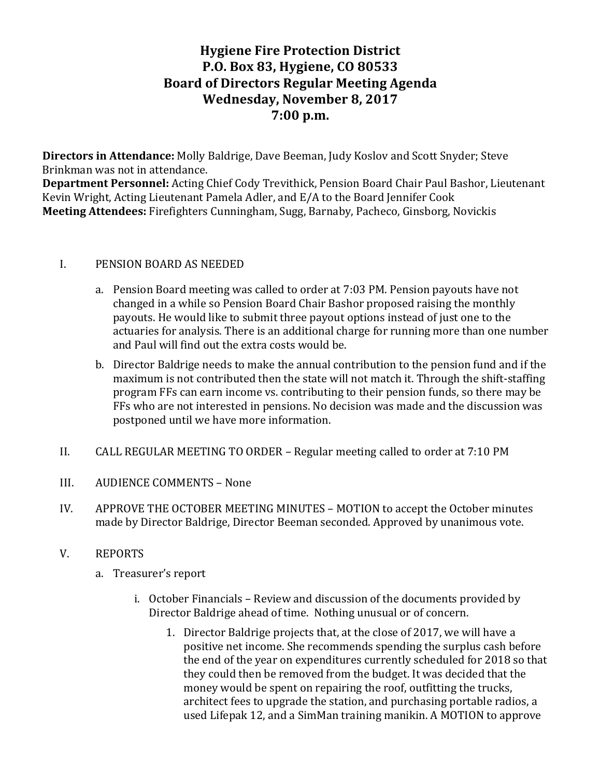# **Hygiene Fire Protection District P.O. Box 83, Hygiene, CO 80533 Board of Directors Regular Meeting Agenda** Wednesday, November 8, 2017 **7:00 p.m.**

**Directors in Attendance:** Molly Baldrige, Dave Beeman, Judy Koslov and Scott Snyder; Steve Brinkman was not in attendance.

**Department Personnel:** Acting Chief Cody Trevithick, Pension Board Chair Paul Bashor, Lieutenant Kevin Wright, Acting Lieutenant Pamela Adler, and E/A to the Board Jennifer Cook **Meeting Attendees:** Firefighters Cunningham, Sugg, Barnaby, Pacheco, Ginsborg, Novickis

### I. PENSION BOARD AS NEEDED

- a. Pension Board meeting was called to order at 7:03 PM. Pension payouts have not changed in a while so Pension Board Chair Bashor proposed raising the monthly payouts. He would like to submit three payout options instead of just one to the actuaries for analysis. There is an additional charge for running more than one number and Paul will find out the extra costs would be.
- b. Director Baldrige needs to make the annual contribution to the pension fund and if the maximum is not contributed then the state will not match it. Through the shift-staffing program FFs can earn income vs. contributing to their pension funds, so there may be FFs who are not interested in pensions. No decision was made and the discussion was postponed until we have more information.
- II. CALL REGULAR MEETING TO ORDER Regular meeting called to order at 7:10 PM
- III. AUDIENCE COMMENTS None
- IV. APPROVE THE OCTOBER MEETING MINUTES MOTION to accept the October minutes made by Director Baldrige, Director Beeman seconded. Approved by unanimous vote.
- V. REPORTS
	- a. Treasurer's report
		- i. October Financials Review and discussion of the documents provided by Director Baldrige ahead of time. Nothing unusual or of concern.
			- 1. Director Baldrige projects that, at the close of 2017, we will have a positive net income. She recommends spending the surplus cash before the end of the year on expenditures currently scheduled for 2018 so that they could then be removed from the budget. It was decided that the money would be spent on repairing the roof, outfitting the trucks, architect fees to upgrade the station, and purchasing portable radios, a used Lifepak 12, and a SimMan training manikin. A MOTION to approve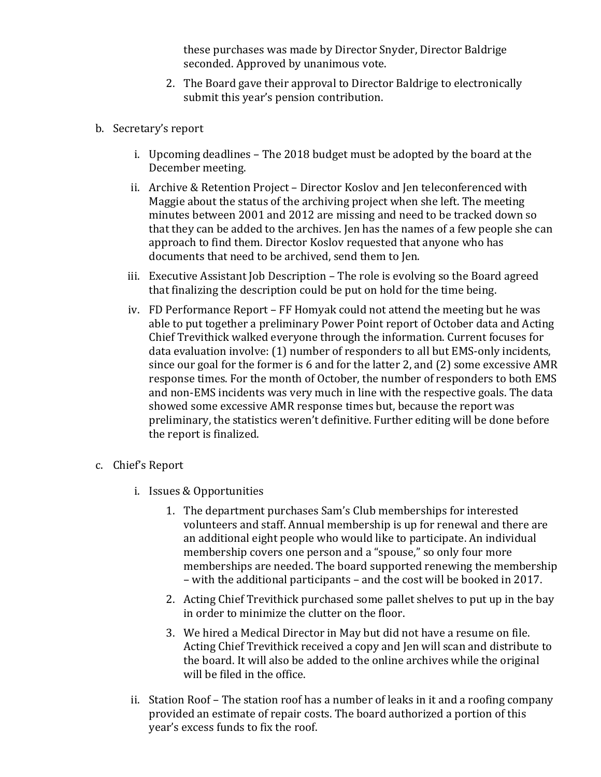these purchases was made by Director Snyder, Director Baldrige seconded. Approved by unanimous vote.

- 2. The Board gave their approval to Director Baldrige to electronically submit this year's pension contribution.
- b. Secretary's report
	- i. Upcoming deadlines The 2018 budget must be adopted by the board at the December meeting.
	- ii. Archive & Retention Project Director Koslov and Jen teleconferenced with Maggie about the status of the archiving project when she left. The meeting minutes between 2001 and 2012 are missing and need to be tracked down so that they can be added to the archives. Jen has the names of a few people she can approach to find them. Director Koslov requested that anyone who has documents that need to be archived, send them to Jen.
	- iii. Executive Assistant Job Description The role is evolving so the Board agreed that finalizing the description could be put on hold for the time being.
	- iv. FD Performance Report FF Homyak could not attend the meeting but he was able to put together a preliminary Power Point report of October data and Acting Chief Trevithick walked everyone through the information. Current focuses for data evaluation involve: (1) number of responders to all but EMS-only incidents, since our goal for the former is  $6$  and for the latter  $2$ , and  $(2)$  some excessive AMR response times. For the month of October, the number of responders to both EMS and non-EMS incidents was very much in line with the respective goals. The data showed some excessive AMR response times but, because the report was preliminary, the statistics weren't definitive. Further editing will be done before the report is finalized.
- c. Chief's Report
	- i. Issues & Opportunities
		- 1. The department purchases Sam's Club memberships for interested volunteers and staff. Annual membership is up for renewal and there are an additional eight people who would like to participate. An individual membership covers one person and a "spouse," so only four more memberships are needed. The board supported renewing the membership – with the additional participants – and the cost will be booked in 2017.
		- 2. Acting Chief Trevithick purchased some pallet shelves to put up in the bay in order to minimize the clutter on the floor.
		- 3. We hired a Medical Director in May but did not have a resume on file. Acting Chief Trevithick received a copy and Jen will scan and distribute to the board. It will also be added to the online archives while the original will be filed in the office.
	- ii. Station Roof The station roof has a number of leaks in it and a roofing company provided an estimate of repair costs. The board authorized a portion of this year's excess funds to fix the roof.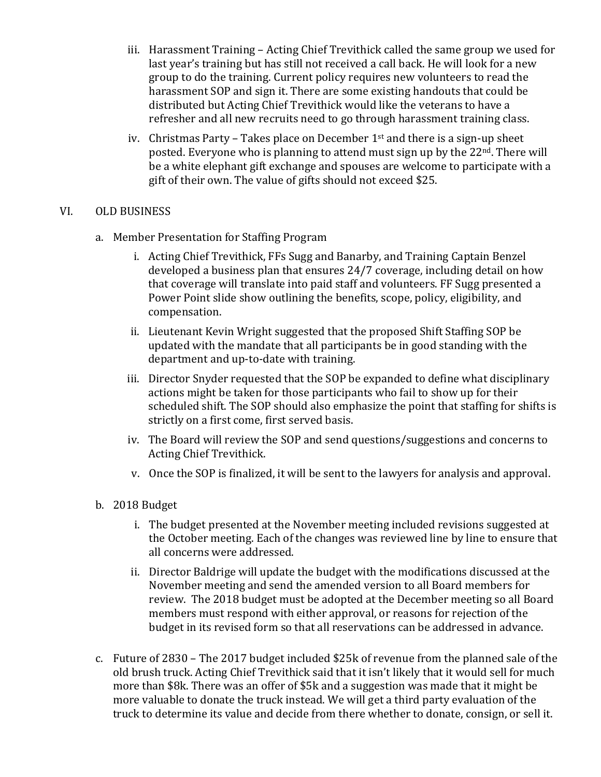- iii. Harassment Training Acting Chief Trevithick called the same group we used for last year's training but has still not received a call back. He will look for a new group to do the training. Current policy requires new volunteers to read the harassment SOP and sign it. There are some existing handouts that could be distributed but Acting Chief Trevithick would like the veterans to have a refresher and all new recruits need to go through harassment training class.
- iv. Christmas Party Takes place on December  $1<sup>st</sup>$  and there is a sign-up sheet posted. Everyone who is planning to attend must sign up by the  $22<sup>nd</sup>$ . There will be a white elephant gift exchange and spouses are welcome to participate with a gift of their own. The value of gifts should not exceed \$25.

### VI. OLD BUSINESS

- a. Member Presentation for Staffing Program
	- i. Acting Chief Trevithick, FFs Sugg and Banarby, and Training Captain Benzel developed a business plan that ensures 24/7 coverage, including detail on how that coverage will translate into paid staff and volunteers. FF Sugg presented a Power Point slide show outlining the benefits, scope, policy, eligibility, and compensation.
	- ii. Lieutenant Kevin Wright suggested that the proposed Shift Staffing SOP be updated with the mandate that all participants be in good standing with the department and up-to-date with training.
	- iii. Director Snyder requested that the SOP be expanded to define what disciplinary actions might be taken for those participants who fail to show up for their scheduled shift. The SOP should also emphasize the point that staffing for shifts is strictly on a first come, first served basis.
	- iv. The Board will review the SOP and send questions/suggestions and concerns to Acting Chief Trevithick.
	- v. Once the SOP is finalized, it will be sent to the lawyers for analysis and approval.
- b. 2018 Budget
	- i. The budget presented at the November meeting included revisions suggested at the October meeting. Each of the changes was reviewed line by line to ensure that all concerns were addressed.
	- ii. Director Baldrige will update the budget with the modifications discussed at the November meeting and send the amended version to all Board members for review. The 2018 budget must be adopted at the December meeting so all Board members must respond with either approval, or reasons for rejection of the budget in its revised form so that all reservations can be addressed in advance.
- c. Future of 2830 The 2017 budget included \$25k of revenue from the planned sale of the old brush truck. Acting Chief Trevithick said that it isn't likely that it would sell for much more than \$8k. There was an offer of \$5k and a suggestion was made that it might be more valuable to donate the truck instead. We will get a third party evaluation of the truck to determine its value and decide from there whether to donate, consign, or sell it.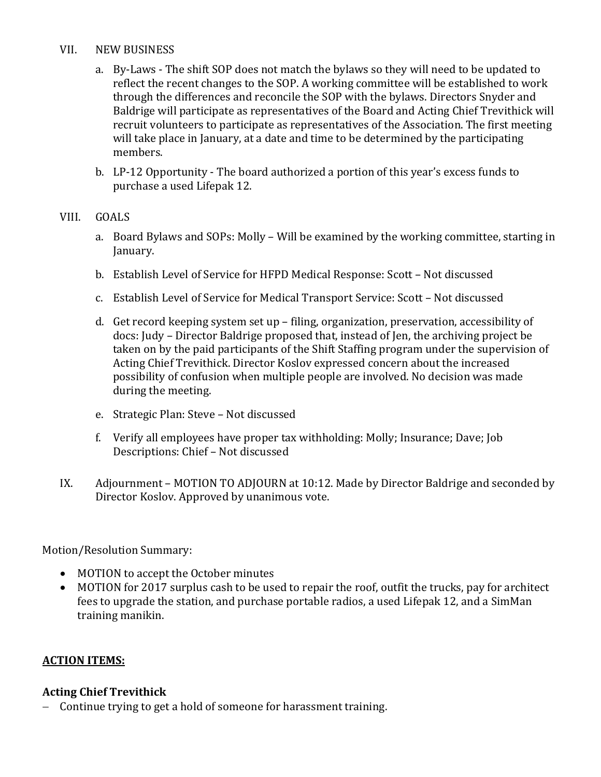#### VII. NEW BUSINESS

- a. By-Laws The shift SOP does not match the bylaws so they will need to be updated to reflect the recent changes to the SOP. A working committee will be established to work through the differences and reconcile the SOP with the bylaws. Directors Snyder and Baldrige will participate as representatives of the Board and Acting Chief Trevithick will recruit volunteers to participate as representatives of the Association. The first meeting will take place in January, at a date and time to be determined by the participating members.
- b. LP-12 Opportunity The board authorized a portion of this year's excess funds to purchase a used Lifepak 12.

### VIII. GOALS

- a. Board Bylaws and SOPs: Molly Will be examined by the working committee, starting in January.
- b. Establish Level of Service for HFPD Medical Response: Scott Not discussed
- c. Establish Level of Service for Medical Transport Service: Scott Not discussed
- d. Get record keeping system set up filing, organization, preservation, accessibility of docs: Judy – Director Baldrige proposed that, instead of Jen, the archiving project be taken on by the paid participants of the Shift Staffing program under the supervision of Acting Chief Trevithick. Director Koslov expressed concern about the increased possibility of confusion when multiple people are involved. No decision was made during the meeting.
- e. Strategic Plan: Steve Not discussed
- f. Verify all employees have proper tax withholding: Molly; Insurance; Dave; Job Descriptions: Chief - Not discussed
- IX. Adjournment MOTION TO ADJOURN at 10:12. Made by Director Baldrige and seconded by Director Koslov. Approved by unanimous vote.

Motion/Resolution Summary:

- MOTION to accept the October minutes
- MOTION for 2017 surplus cash to be used to repair the roof, outfit the trucks, pay for architect fees to upgrade the station, and purchase portable radios, a used Lifepak 12, and a SimMan training manikin.

## **ACTION ITEMS:**

## **Acting Chief Trevithick**

- Continue trying to get a hold of someone for harassment training.